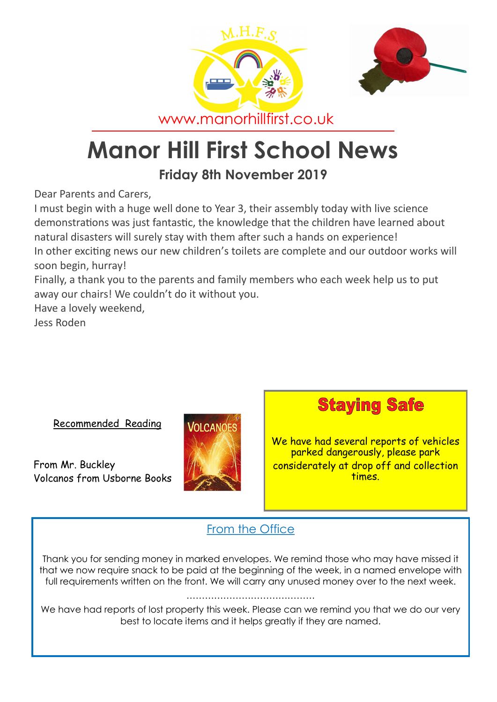



www.manorhillfirst.co.uk

# **Manor Hill First School News**

# **Friday 8th November 2019**

Dear Parents and Carers,

I must begin with a huge well done to Year 3, their assembly today with live science demonstrations was just fantastic, the knowledge that the children have learned about natural disasters will surely stay with them after such a hands on experience! In other exciting news our new children's toilets are complete and our outdoor works will soon begin, hurray!

Finally, a thank you to the parents and family members who each week help us to put away our chairs! We couldn't do it without you.

Have a lovely weekend,

Jess Roden

Recommended Reading

From Mr. Buckley Volcanos from Usborne Books



**Staying Safe** 

We have had several reports of vehicles parked dangerously, please park considerately at drop off and collection times.

## From the Office

Thank you for sending money in marked envelopes. We remind those who may have missed it that we now require snack to be paid at the beginning of the week, in a named envelope with full requirements written on the front. We will carry any unused money over to the next week.

…………………………………

We have had reports of lost property this week. Please can we remind you that we do our very best to locate items and it helps greatly if they are named.